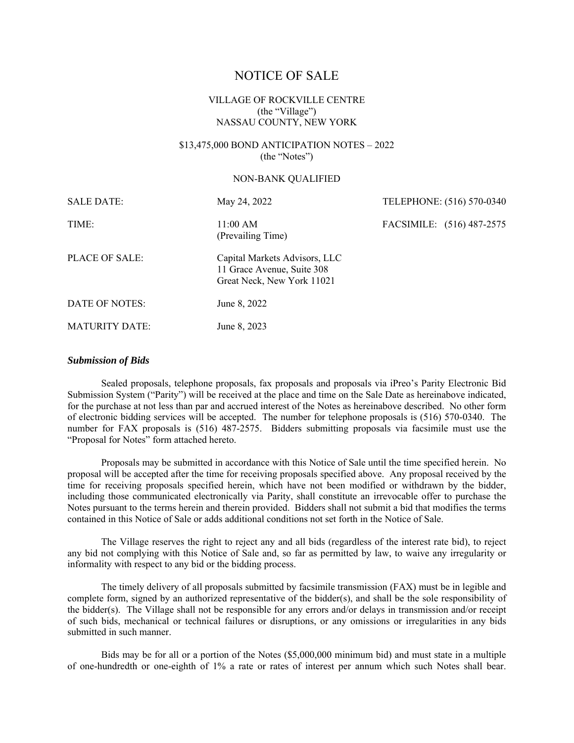# NOTICE OF SALE

# VILLAGE OF ROCKVILLE CENTRE (the "Village") NASSAU COUNTY, NEW YORK

# \$13,475,000 BOND ANTICIPATION NOTES – 2022 (the "Notes")

#### NON-BANK QUALIFIED

| <b>SALE DATE:</b>     | May 24, 2022                                                                              | TELEPHONE: (516) 570-0340 |  |
|-----------------------|-------------------------------------------------------------------------------------------|---------------------------|--|
| TIME:                 | 11:00 AM<br>(Prevailing Time)                                                             | FACSIMILE: (516) 487-2575 |  |
| PLACE OF SALE:        | Capital Markets Advisors, LLC<br>11 Grace Avenue, Suite 308<br>Great Neck, New York 11021 |                           |  |
| DATE OF NOTES:        | June 8, 2022                                                                              |                           |  |
| <b>MATURITY DATE:</b> | June 8, 2023                                                                              |                           |  |

#### *Submission of Bids*

Sealed proposals, telephone proposals, fax proposals and proposals via iPreo's Parity Electronic Bid Submission System ("Parity") will be received at the place and time on the Sale Date as hereinabove indicated, for the purchase at not less than par and accrued interest of the Notes as hereinabove described. No other form of electronic bidding services will be accepted. The number for telephone proposals is (516) 570-0340. The number for FAX proposals is (516) 487-2575. Bidders submitting proposals via facsimile must use the "Proposal for Notes" form attached hereto.

Proposals may be submitted in accordance with this Notice of Sale until the time specified herein. No proposal will be accepted after the time for receiving proposals specified above. Any proposal received by the time for receiving proposals specified herein, which have not been modified or withdrawn by the bidder, including those communicated electronically via Parity, shall constitute an irrevocable offer to purchase the Notes pursuant to the terms herein and therein provided. Bidders shall not submit a bid that modifies the terms contained in this Notice of Sale or adds additional conditions not set forth in the Notice of Sale.

The Village reserves the right to reject any and all bids (regardless of the interest rate bid), to reject any bid not complying with this Notice of Sale and, so far as permitted by law, to waive any irregularity or informality with respect to any bid or the bidding process.

The timely delivery of all proposals submitted by facsimile transmission (FAX) must be in legible and complete form, signed by an authorized representative of the bidder(s), and shall be the sole responsibility of the bidder(s). The Village shall not be responsible for any errors and/or delays in transmission and/or receipt of such bids, mechanical or technical failures or disruptions, or any omissions or irregularities in any bids submitted in such manner.

Bids may be for all or a portion of the Notes (\$5,000,000 minimum bid) and must state in a multiple of one-hundredth or one-eighth of 1% a rate or rates of interest per annum which such Notes shall bear.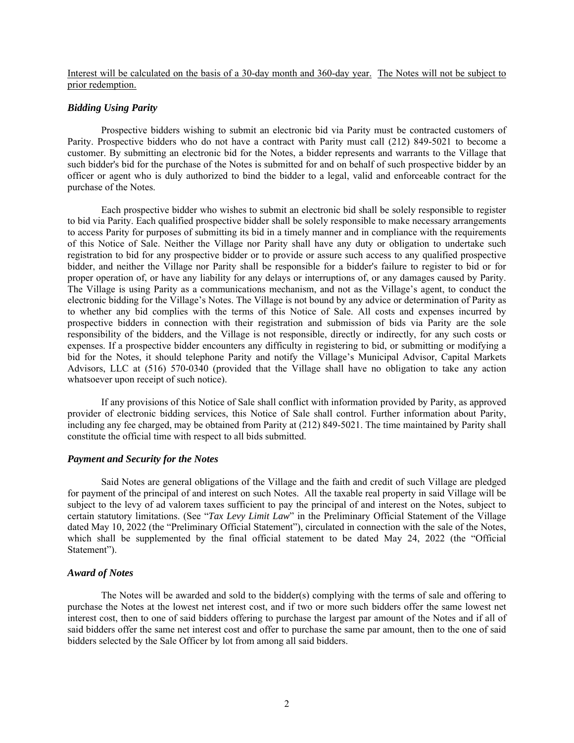Interest will be calculated on the basis of a 30-day month and 360-day year. The Notes will not be subject to prior redemption.

#### *Bidding Using Parity*

Prospective bidders wishing to submit an electronic bid via Parity must be contracted customers of Parity. Prospective bidders who do not have a contract with Parity must call (212) 849-5021 to become a customer. By submitting an electronic bid for the Notes, a bidder represents and warrants to the Village that such bidder's bid for the purchase of the Notes is submitted for and on behalf of such prospective bidder by an officer or agent who is duly authorized to bind the bidder to a legal, valid and enforceable contract for the purchase of the Notes.

Each prospective bidder who wishes to submit an electronic bid shall be solely responsible to register to bid via Parity. Each qualified prospective bidder shall be solely responsible to make necessary arrangements to access Parity for purposes of submitting its bid in a timely manner and in compliance with the requirements of this Notice of Sale. Neither the Village nor Parity shall have any duty or obligation to undertake such registration to bid for any prospective bidder or to provide or assure such access to any qualified prospective bidder, and neither the Village nor Parity shall be responsible for a bidder's failure to register to bid or for proper operation of, or have any liability for any delays or interruptions of, or any damages caused by Parity. The Village is using Parity as a communications mechanism, and not as the Village's agent, to conduct the electronic bidding for the Village's Notes. The Village is not bound by any advice or determination of Parity as to whether any bid complies with the terms of this Notice of Sale. All costs and expenses incurred by prospective bidders in connection with their registration and submission of bids via Parity are the sole responsibility of the bidders, and the Village is not responsible, directly or indirectly, for any such costs or expenses. If a prospective bidder encounters any difficulty in registering to bid, or submitting or modifying a bid for the Notes, it should telephone Parity and notify the Village's Municipal Advisor, Capital Markets Advisors, LLC at (516) 570-0340 (provided that the Village shall have no obligation to take any action whatsoever upon receipt of such notice).

If any provisions of this Notice of Sale shall conflict with information provided by Parity, as approved provider of electronic bidding services, this Notice of Sale shall control. Further information about Parity, including any fee charged, may be obtained from Parity at (212) 849-5021. The time maintained by Parity shall constitute the official time with respect to all bids submitted.

#### *Payment and Security for the Notes*

Said Notes are general obligations of the Village and the faith and credit of such Village are pledged for payment of the principal of and interest on such Notes. All the taxable real property in said Village will be subject to the levy of ad valorem taxes sufficient to pay the principal of and interest on the Notes, subject to certain statutory limitations. (See "*Tax Levy Limit Law*" in the Preliminary Official Statement of the Village dated May 10, 2022 (the "Preliminary Official Statement"), circulated in connection with the sale of the Notes, which shall be supplemented by the final official statement to be dated May 24, 2022 (the "Official Statement").

# *Award of Notes*

The Notes will be awarded and sold to the bidder(s) complying with the terms of sale and offering to purchase the Notes at the lowest net interest cost, and if two or more such bidders offer the same lowest net interest cost, then to one of said bidders offering to purchase the largest par amount of the Notes and if all of said bidders offer the same net interest cost and offer to purchase the same par amount, then to the one of said bidders selected by the Sale Officer by lot from among all said bidders.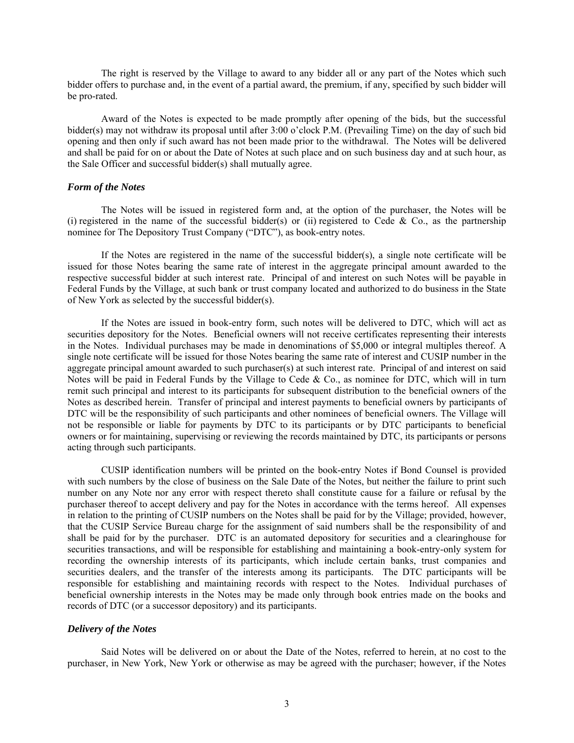The right is reserved by the Village to award to any bidder all or any part of the Notes which such bidder offers to purchase and, in the event of a partial award, the premium, if any, specified by such bidder will be pro-rated.

Award of the Notes is expected to be made promptly after opening of the bids, but the successful bidder(s) may not withdraw its proposal until after 3:00 o'clock P.M. (Prevailing Time) on the day of such bid opening and then only if such award has not been made prior to the withdrawal. The Notes will be delivered and shall be paid for on or about the Date of Notes at such place and on such business day and at such hour, as the Sale Officer and successful bidder(s) shall mutually agree.

### *Form of the Notes*

The Notes will be issued in registered form and, at the option of the purchaser, the Notes will be (i) registered in the name of the successful bidder(s) or (ii) registered to Cede & Co., as the partnership nominee for The Depository Trust Company ("DTC"), as book-entry notes.

If the Notes are registered in the name of the successful bidder(s), a single note certificate will be issued for those Notes bearing the same rate of interest in the aggregate principal amount awarded to the respective successful bidder at such interest rate. Principal of and interest on such Notes will be payable in Federal Funds by the Village, at such bank or trust company located and authorized to do business in the State of New York as selected by the successful bidder(s).

If the Notes are issued in book-entry form, such notes will be delivered to DTC, which will act as securities depository for the Notes. Beneficial owners will not receive certificates representing their interests in the Notes. Individual purchases may be made in denominations of \$5,000 or integral multiples thereof. A single note certificate will be issued for those Notes bearing the same rate of interest and CUSIP number in the aggregate principal amount awarded to such purchaser(s) at such interest rate. Principal of and interest on said Notes will be paid in Federal Funds by the Village to Cede & Co., as nominee for DTC, which will in turn remit such principal and interest to its participants for subsequent distribution to the beneficial owners of the Notes as described herein. Transfer of principal and interest payments to beneficial owners by participants of DTC will be the responsibility of such participants and other nominees of beneficial owners. The Village will not be responsible or liable for payments by DTC to its participants or by DTC participants to beneficial owners or for maintaining, supervising or reviewing the records maintained by DTC, its participants or persons acting through such participants.

CUSIP identification numbers will be printed on the book-entry Notes if Bond Counsel is provided with such numbers by the close of business on the Sale Date of the Notes, but neither the failure to print such number on any Note nor any error with respect thereto shall constitute cause for a failure or refusal by the purchaser thereof to accept delivery and pay for the Notes in accordance with the terms hereof. All expenses in relation to the printing of CUSIP numbers on the Notes shall be paid for by the Village; provided, however, that the CUSIP Service Bureau charge for the assignment of said numbers shall be the responsibility of and shall be paid for by the purchaser. DTC is an automated depository for securities and a clearinghouse for securities transactions, and will be responsible for establishing and maintaining a book-entry-only system for recording the ownership interests of its participants, which include certain banks, trust companies and securities dealers, and the transfer of the interests among its participants. The DTC participants will be responsible for establishing and maintaining records with respect to the Notes. Individual purchases of beneficial ownership interests in the Notes may be made only through book entries made on the books and records of DTC (or a successor depository) and its participants.

#### *Delivery of the Notes*

Said Notes will be delivered on or about the Date of the Notes, referred to herein, at no cost to the purchaser, in New York, New York or otherwise as may be agreed with the purchaser; however, if the Notes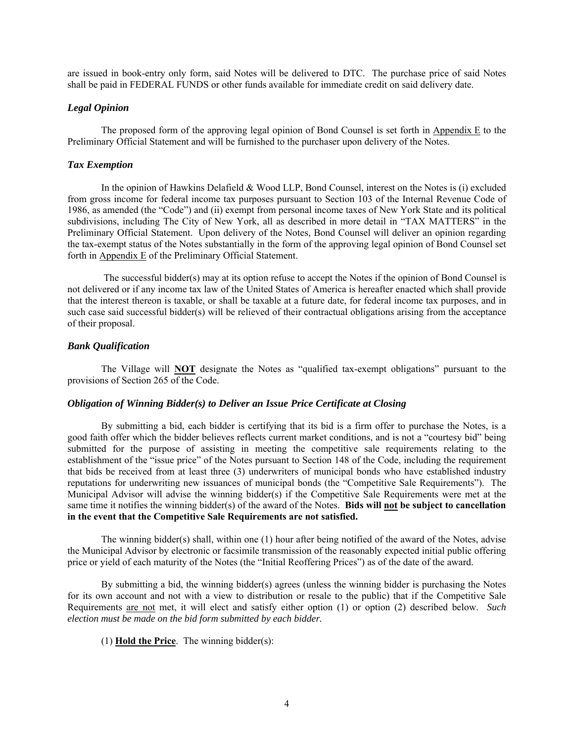are issued in book-entry only form, said Notes will be delivered to DTC. The purchase price of said Notes shall be paid in FEDERAL FUNDS or other funds available for immediate credit on said delivery date.

# *Legal Opinion*

The proposed form of the approving legal opinion of Bond Counsel is set forth in Appendix E to the Preliminary Official Statement and will be furnished to the purchaser upon delivery of the Notes.

#### *Tax Exemption*

In the opinion of Hawkins Delafield & Wood LLP, Bond Counsel, interest on the Notes is (i) excluded from gross income for federal income tax purposes pursuant to Section 103 of the Internal Revenue Code of 1986, as amended (the "Code") and (ii) exempt from personal income taxes of New York State and its political subdivisions, including The City of New York, all as described in more detail in "TAX MATTERS" in the Preliminary Official Statement. Upon delivery of the Notes, Bond Counsel will deliver an opinion regarding the tax-exempt status of the Notes substantially in the form of the approving legal opinion of Bond Counsel set forth in  $\Delta$ ppendix  $E$  of the Preliminary Official Statement.

 The successful bidder(s) may at its option refuse to accept the Notes if the opinion of Bond Counsel is not delivered or if any income tax law of the United States of America is hereafter enacted which shall provide that the interest thereon is taxable, or shall be taxable at a future date, for federal income tax purposes, and in such case said successful bidder(s) will be relieved of their contractual obligations arising from the acceptance of their proposal.

#### *Bank Qualification*

The Village will **NOT** designate the Notes as "qualified tax-exempt obligations" pursuant to the provisions of Section 265 of the Code.

## *Obligation of Winning Bidder(s) to Deliver an Issue Price Certificate at Closing*

By submitting a bid, each bidder is certifying that its bid is a firm offer to purchase the Notes, is a good faith offer which the bidder believes reflects current market conditions, and is not a "courtesy bid" being submitted for the purpose of assisting in meeting the competitive sale requirements relating to the establishment of the "issue price" of the Notes pursuant to Section 148 of the Code, including the requirement that bids be received from at least three (3) underwriters of municipal bonds who have established industry reputations for underwriting new issuances of municipal bonds (the "Competitive Sale Requirements"). The Municipal Advisor will advise the winning bidder(s) if the Competitive Sale Requirements were met at the same time it notifies the winning bidder(s) of the award of the Notes. **Bids will not be subject to cancellation in the event that the Competitive Sale Requirements are not satisfied.**

The winning bidder(s) shall, within one (1) hour after being notified of the award of the Notes, advise the Municipal Advisor by electronic or facsimile transmission of the reasonably expected initial public offering price or yield of each maturity of the Notes (the "Initial Reoffering Prices") as of the date of the award.

By submitting a bid, the winning bidder(s) agrees (unless the winning bidder is purchasing the Notes for its own account and not with a view to distribution or resale to the public) that if the Competitive Sale Requirements are not met, it will elect and satisfy either option (1) or option (2) described below. *Such election must be made on the bid form submitted by each bidder.*

(1) **Hold the Price**. The winning bidder(s):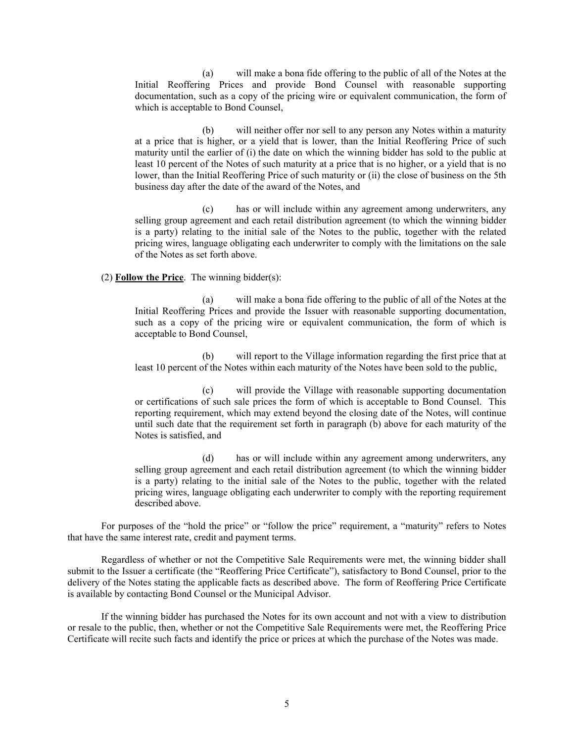(a) will make a bona fide offering to the public of all of the Notes at the Initial Reoffering Prices and provide Bond Counsel with reasonable supporting documentation, such as a copy of the pricing wire or equivalent communication, the form of which is acceptable to Bond Counsel,

(b) will neither offer nor sell to any person any Notes within a maturity at a price that is higher, or a yield that is lower, than the Initial Reoffering Price of such maturity until the earlier of (i) the date on which the winning bidder has sold to the public at least 10 percent of the Notes of such maturity at a price that is no higher, or a yield that is no lower, than the Initial Reoffering Price of such maturity or (ii) the close of business on the 5th business day after the date of the award of the Notes, and

(c) has or will include within any agreement among underwriters, any selling group agreement and each retail distribution agreement (to which the winning bidder is a party) relating to the initial sale of the Notes to the public, together with the related pricing wires, language obligating each underwriter to comply with the limitations on the sale of the Notes as set forth above.

## (2) **Follow the Price**. The winning bidder(s):

(a) will make a bona fide offering to the public of all of the Notes at the Initial Reoffering Prices and provide the Issuer with reasonable supporting documentation, such as a copy of the pricing wire or equivalent communication, the form of which is acceptable to Bond Counsel,

(b) will report to the Village information regarding the first price that at least 10 percent of the Notes within each maturity of the Notes have been sold to the public,

(c) will provide the Village with reasonable supporting documentation or certifications of such sale prices the form of which is acceptable to Bond Counsel. This reporting requirement, which may extend beyond the closing date of the Notes, will continue until such date that the requirement set forth in paragraph (b) above for each maturity of the Notes is satisfied, and

(d) has or will include within any agreement among underwriters, any selling group agreement and each retail distribution agreement (to which the winning bidder is a party) relating to the initial sale of the Notes to the public, together with the related pricing wires, language obligating each underwriter to comply with the reporting requirement described above.

For purposes of the "hold the price" or "follow the price" requirement, a "maturity" refers to Notes that have the same interest rate, credit and payment terms.

Regardless of whether or not the Competitive Sale Requirements were met, the winning bidder shall submit to the Issuer a certificate (the "Reoffering Price Certificate"), satisfactory to Bond Counsel, prior to the delivery of the Notes stating the applicable facts as described above. The form of Reoffering Price Certificate is available by contacting Bond Counsel or the Municipal Advisor.

If the winning bidder has purchased the Notes for its own account and not with a view to distribution or resale to the public, then, whether or not the Competitive Sale Requirements were met, the Reoffering Price Certificate will recite such facts and identify the price or prices at which the purchase of the Notes was made.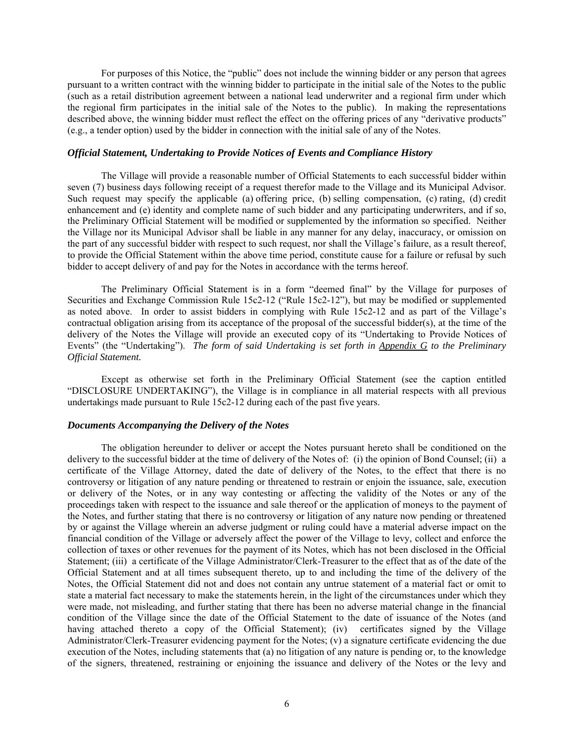For purposes of this Notice, the "public" does not include the winning bidder or any person that agrees pursuant to a written contract with the winning bidder to participate in the initial sale of the Notes to the public (such as a retail distribution agreement between a national lead underwriter and a regional firm under which the regional firm participates in the initial sale of the Notes to the public). In making the representations described above, the winning bidder must reflect the effect on the offering prices of any "derivative products" (e.g., a tender option) used by the bidder in connection with the initial sale of any of the Notes.

#### *Official Statement, Undertaking to Provide Notices of Events and Compliance History*

The Village will provide a reasonable number of Official Statements to each successful bidder within seven (7) business days following receipt of a request therefor made to the Village and its Municipal Advisor. Such request may specify the applicable (a) offering price, (b) selling compensation, (c) rating, (d) credit enhancement and (e) identity and complete name of such bidder and any participating underwriters, and if so, the Preliminary Official Statement will be modified or supplemented by the information so specified. Neither the Village nor its Municipal Advisor shall be liable in any manner for any delay, inaccuracy, or omission on the part of any successful bidder with respect to such request, nor shall the Village's failure, as a result thereof, to provide the Official Statement within the above time period, constitute cause for a failure or refusal by such bidder to accept delivery of and pay for the Notes in accordance with the terms hereof.

The Preliminary Official Statement is in a form "deemed final" by the Village for purposes of Securities and Exchange Commission Rule 15c2-12 ("Rule 15c2-12"), but may be modified or supplemented as noted above. In order to assist bidders in complying with Rule 15c2-12 and as part of the Village's contractual obligation arising from its acceptance of the proposal of the successful bidder(s), at the time of the delivery of the Notes the Village will provide an executed copy of its "Undertaking to Provide Notices of Events" (the "Undertaking"). *The form of said Undertaking is set forth in Appendix G to the Preliminary Official Statement.* 

Except as otherwise set forth in the Preliminary Official Statement (see the caption entitled "DISCLOSURE UNDERTAKING"), the Village is in compliance in all material respects with all previous undertakings made pursuant to Rule 15c2-12 during each of the past five years.

#### *Documents Accompanying the Delivery of the Notes*

The obligation hereunder to deliver or accept the Notes pursuant hereto shall be conditioned on the delivery to the successful bidder at the time of delivery of the Notes of: (i) the opinion of Bond Counsel; (ii) a certificate of the Village Attorney, dated the date of delivery of the Notes, to the effect that there is no controversy or litigation of any nature pending or threatened to restrain or enjoin the issuance, sale, execution or delivery of the Notes, or in any way contesting or affecting the validity of the Notes or any of the proceedings taken with respect to the issuance and sale thereof or the application of moneys to the payment of the Notes, and further stating that there is no controversy or litigation of any nature now pending or threatened by or against the Village wherein an adverse judgment or ruling could have a material adverse impact on the financial condition of the Village or adversely affect the power of the Village to levy, collect and enforce the collection of taxes or other revenues for the payment of its Notes, which has not been disclosed in the Official Statement; (iii) a certificate of the Village Administrator/Clerk-Treasurer to the effect that as of the date of the Official Statement and at all times subsequent thereto, up to and including the time of the delivery of the Notes, the Official Statement did not and does not contain any untrue statement of a material fact or omit to state a material fact necessary to make the statements herein, in the light of the circumstances under which they were made, not misleading, and further stating that there has been no adverse material change in the financial condition of the Village since the date of the Official Statement to the date of issuance of the Notes (and having attached thereto a copy of the Official Statement); (iv) certificates signed by the Village Administrator/Clerk-Treasurer evidencing payment for the Notes; (v) a signature certificate evidencing the due execution of the Notes, including statements that (a) no litigation of any nature is pending or, to the knowledge of the signers, threatened, restraining or enjoining the issuance and delivery of the Notes or the levy and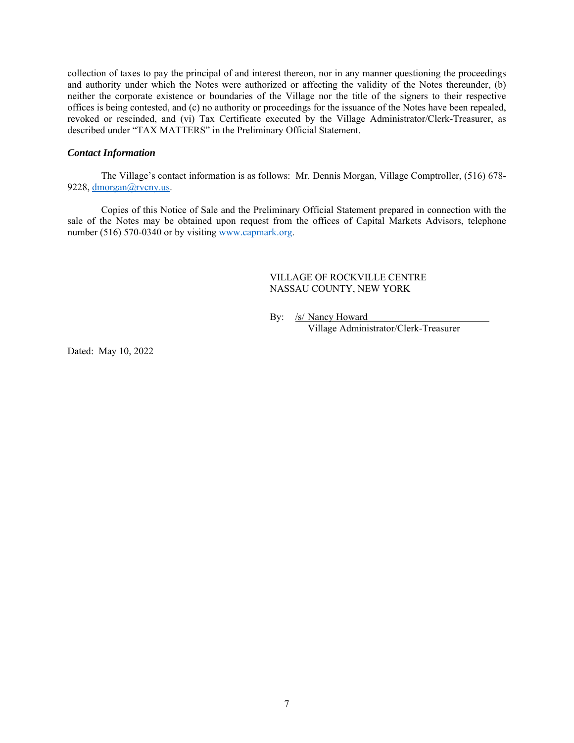collection of taxes to pay the principal of and interest thereon, nor in any manner questioning the proceedings and authority under which the Notes were authorized or affecting the validity of the Notes thereunder, (b) neither the corporate existence or boundaries of the Village nor the title of the signers to their respective offices is being contested, and (c) no authority or proceedings for the issuance of the Notes have been repealed, revoked or rescinded, and (vi) Tax Certificate executed by the Village Administrator/Clerk-Treasurer, as described under "TAX MATTERS" in the Preliminary Official Statement.

# *Contact Information*

The Village's contact information is as follows: Mr. Dennis Morgan, Village Comptroller, (516) 678- 9228, dmorgan@rvcny.us.

Copies of this Notice of Sale and the Preliminary Official Statement prepared in connection with the sale of the Notes may be obtained upon request from the offices of Capital Markets Advisors, telephone number (516) 570-0340 or by visiting www.capmark.org.

# VILLAGE OF ROCKVILLE CENTRE NASSAU COUNTY, NEW YORK

By: /s/ Nancy Howard

Village Administrator/Clerk-Treasurer

Dated: May 10, 2022